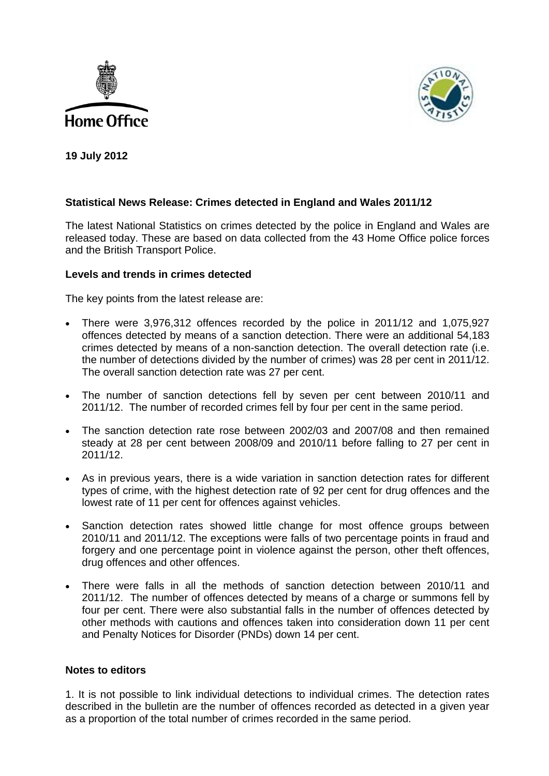



**19 July 2012**

## **Statistical News Release: Crimes detected in England and Wales 2011/12**

The latest National Statistics on crimes detected by the police in England and Wales are released today. These are based on data collected from the 43 Home Office police forces and the British Transport Police.

## **Levels and trends in crimes detected**

The key points from the latest release are:

- There were 3,976,312 offences recorded by the police in 2011/12 and 1,075,927 offences detected by means of a sanction detection. There were an additional 54,183 crimes detected by means of a non-sanction detection. The overall detection rate (i.e. the number of detections divided by the number of crimes) was 28 per cent in 2011/12. The overall sanction detection rate was 27 per cent.
- The number of sanction detections fell by seven per cent between 2010/11 and 2011/12. The number of recorded crimes fell by four per cent in the same period.
- The sanction detection rate rose between 2002/03 and 2007/08 and then remained steady at 28 per cent between 2008/09 and 2010/11 before falling to 27 per cent in 2011/12.
- As in previous years, there is a wide variation in sanction detection rates for different types of crime, with the highest detection rate of 92 per cent for drug offences and the lowest rate of 11 per cent for offences against vehicles.
- Sanction detection rates showed little change for most offence groups between 2010/11 and 2011/12. The exceptions were falls of two percentage points in fraud and forgery and one percentage point in violence against the person, other theft offences, drug offences and other offences.
- There were falls in all the methods of sanction detection between 2010/11 and 2011/12. The number of offences detected by means of a charge or summons fell by four per cent. There were also substantial falls in the number of offences detected by other methods with cautions and offences taken into consideration down 11 per cent and Penalty Notices for Disorder (PNDs) down 14 per cent.

## **Notes to editors**

1. It is not possible to link individual detections to individual crimes. The detection rates described in the bulletin are the number of offences recorded as detected in a given year as a proportion of the total number of crimes recorded in the same period.